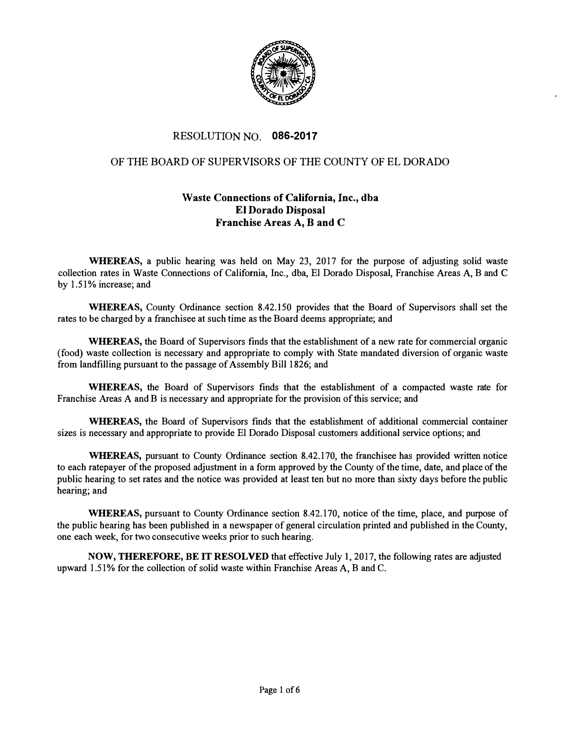

## RESOLUTION NO. **086-2017**

## OF THE BOARD OF SUPERVISORS OF THE COUNTY OF EL DORADO

## **Waste Connections of California, Inc., dba El Dorado Disposal Franchise Areas A, B and C**

**WHEREAS,** a public hearing was held on May 23, 2017 for the purpose of adjusting solid waste collection rates in Waste Connections of California, Inc., dba, El Dorado Disposal, Franchise Areas A, B and C by 1.51% increase; and

**WHEREAS,** County Ordinance section 8.42.150 provides that the Board of Supervisors shall set the rates to be charged by a franchisee at such time as the Board deems appropriate; and

**WHEREAS,** the Board of Supervisors finds that the establishment of a new rate for commercial organic (food) waste collection is necessary and appropriate to comply with State mandated diversion of organic waste from landfilling pursuant to the passage of Assembly Bill 1826; and

**WHEREAS,** the Board of Supervisors finds that the establishment of a compacted waste rate for Franchise Areas A and B is necessary and appropriate for the provision of this service; and

**WHEREAS,** the Board of Supervisors finds that the establishment of additional commercial container sizes is necessary and appropriate to provide El Dorado Disposal customers additional service options; and

**WHEREAS,** pursuant to County Ordinance section 8.42.170, the franchisee has provided written notice to each ratepayer of the proposed adjustment in a form approved by the County of the time, date, and place of the public hearing to set rates and the notice was provided at least ten but no more than sixty days before the public hearing; and

**WHEREAS,** pursuant to County Ordinance section 8.42.170, notice of the time, place, and purpose of the public hearing has been published in a newspaper of general circulation printed and published in the County, one each week, for two consecutive weeks prior to such hearing.

**NOW, THEREFORE, BE IT RESOLVED** that effective July **1,** 2017, the following rates are adjusted upward 1.51 % for the collection of solid waste within Franchise Areas A, B and C.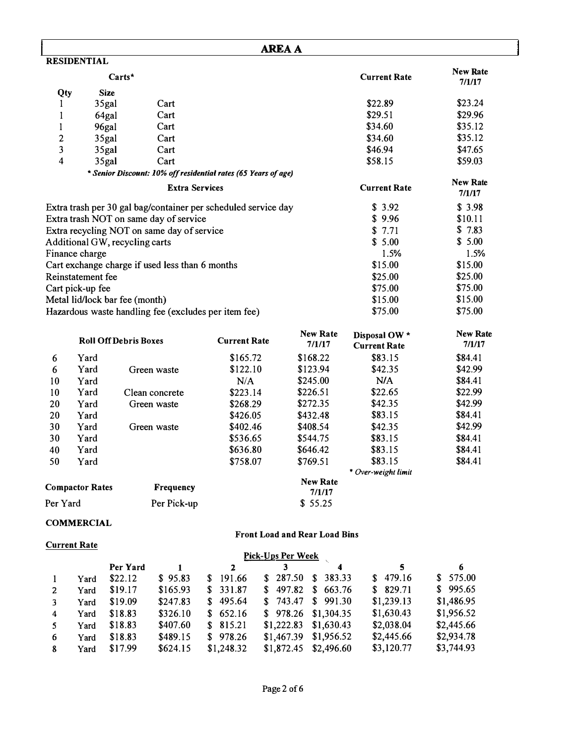| <b>AREA A</b>           |                        |                                                 |                       |                                                                |                   |                               |                     |                           |  |
|-------------------------|------------------------|-------------------------------------------------|-----------------------|----------------------------------------------------------------|-------------------|-------------------------------|---------------------|---------------------------|--|
|                         | <b>RESIDENTIAL</b>     |                                                 |                       |                                                                |                   |                               |                     |                           |  |
|                         |                        | $Carts^*$                                       |                       |                                                                |                   |                               | <b>Current Rate</b> | <b>New Rate</b><br>7/1/17 |  |
| Qty                     |                        | <b>Size</b>                                     |                       |                                                                |                   |                               |                     |                           |  |
| I                       |                        | 35gal                                           | Cart                  |                                                                |                   |                               | \$22.89             | \$23.24                   |  |
| 1                       |                        | 64gal                                           | Cart                  |                                                                |                   |                               | \$29.51             | \$29.96                   |  |
| 1                       |                        | 96gal                                           | Cart                  |                                                                |                   |                               | \$34.60             | \$35.12                   |  |
| $\mathbf{2}$            |                        | 35gal                                           | Cart                  |                                                                |                   |                               | \$34.60             | \$35.12                   |  |
| 3                       |                        | 35gal                                           | Cart                  |                                                                |                   |                               | \$46.94             | \$47.65                   |  |
| $\overline{\mathbf{4}}$ |                        | 35gal                                           | Cart                  |                                                                |                   |                               | \$58.15             | \$59.03                   |  |
|                         |                        |                                                 |                       | * Senior Discount: 10% off residential rates (65 Years of age) |                   |                               |                     |                           |  |
|                         |                        |                                                 | <b>Extra Services</b> |                                                                |                   |                               | <b>Current Rate</b> | <b>New Rate</b><br>7/1/17 |  |
|                         |                        |                                                 |                       | Extra trash per 30 gal bag/container per scheduled service day |                   |                               | \$3.92              | \$3.98                    |  |
|                         |                        | Extra trash NOT on same day of service          |                       |                                                                |                   |                               | \$9.96              | \$10.11                   |  |
|                         |                        | Extra recycling NOT on same day of service      |                       |                                                                |                   |                               | \$7.71              | \$7.83                    |  |
|                         |                        | Additional GW, recycling carts                  |                       |                                                                |                   |                               | \$5.00              | \$5.00                    |  |
|                         | Finance charge         |                                                 |                       |                                                                |                   |                               | 1.5%                | 1.5%                      |  |
|                         |                        | Cart exchange charge if used less than 6 months |                       |                                                                |                   |                               | \$15.00             | \$15.00                   |  |
|                         | Reinstatement fee      |                                                 |                       |                                                                |                   |                               | \$25.00             | \$25.00                   |  |
|                         | Cart pick-up fee       |                                                 |                       |                                                                |                   |                               | \$75.00             | \$75.00                   |  |
|                         |                        | Metal lid/lock bar fee (month)                  |                       |                                                                |                   |                               | \$15.00             | \$15.00                   |  |
|                         |                        |                                                 |                       | Hazardous waste handling fee (excludes per item fee)           |                   |                               | \$75.00             | \$75.00                   |  |
|                         |                        |                                                 |                       |                                                                |                   | <b>New Rate</b>               | Disposal OW *       | <b>New Rate</b>           |  |
|                         |                        | <b>Roll Off Debris Boxes</b>                    |                       | <b>Current Rate</b>                                            |                   | 7/1/17                        | <b>Current Rate</b> | 7/1/17                    |  |
| 6                       | Yard                   |                                                 |                       | \$165.72                                                       |                   | \$168.22                      | \$83.15             | \$84.41                   |  |
| 6                       | Yard                   |                                                 | Green waste           | \$122.10                                                       |                   | \$123.94                      | \$42.35             | \$42.99                   |  |
| 10                      | Yard                   |                                                 |                       | N/A                                                            |                   | \$245.00                      | N/A                 | \$84.41                   |  |
| 10                      | Yard                   |                                                 | Clean concrete        | \$223.14                                                       |                   | \$226.51                      | \$22.65             | \$22.99                   |  |
| 20                      | Yard                   |                                                 | Green waste           | \$268.29                                                       |                   | \$272.35                      | \$42.35             | \$42.99                   |  |
| 20                      | Yard                   |                                                 |                       | \$426.05                                                       |                   | \$432.48                      | \$83.15             | \$84.41                   |  |
| 30                      | Yard                   |                                                 | Green waste           | \$402.46                                                       |                   | \$408.54                      | \$42.35             | \$42.99                   |  |
| 30                      | Yard                   |                                                 |                       | \$536.65                                                       |                   | \$544.75                      | \$83.15             | \$84.41                   |  |
| 40                      | Yard                   |                                                 |                       | \$636.80                                                       |                   | \$646.42                      | \$83.15             | \$84.41                   |  |
| 50                      | Yard                   |                                                 |                       | \$758.07                                                       |                   | \$769.51                      | \$83.15             | \$84.41                   |  |
|                         |                        |                                                 |                       |                                                                |                   |                               | * Over-weight limit |                           |  |
|                         | <b>Compactor Rates</b> |                                                 | Frequency             |                                                                |                   | <b>New Rate</b>               |                     |                           |  |
|                         |                        |                                                 |                       |                                                                |                   | 7/1/17                        |                     |                           |  |
| Per Yard                |                        |                                                 | Per Pick-up           |                                                                |                   | \$55.25                       |                     |                           |  |
|                         | <b>COMMERCIAL</b>      |                                                 |                       |                                                                |                   |                               |                     |                           |  |
|                         |                        |                                                 |                       |                                                                |                   | Front Load and Rear Load Bins |                     |                           |  |
|                         | <b>Current Rate</b>    |                                                 |                       |                                                                |                   |                               |                     |                           |  |
|                         |                        |                                                 |                       |                                                                | Pick-Ups Per Week |                               |                     |                           |  |
|                         |                        | Per Yard                                        | $\mathbf{1}$          | $\mathbf{2}$                                                   | 3                 | $\boldsymbol{4}$              | 5                   | 6                         |  |
| $\mathbf{1}$            | Yard                   | \$22.12                                         | \$95.83               | 191.66<br>\$                                                   | \$287.50          | 383.33<br>S.                  | \$479.16            | \$575.00                  |  |
| 2                       | Yard                   | \$19.17                                         | \$165.93              | 331.87<br>\$                                                   | 497.82<br>\$      | 663.76<br>$\mathbf{\$}$       | \$829.71            | 995.65<br>\$              |  |
| 3                       | Yard                   | \$19.09                                         | \$247.83              | 495.64<br>S.                                                   | 743.47<br>\$      | \$991.30                      | \$1,239.13          | \$1,486.95                |  |
| 4                       | Yard                   | \$18.83                                         | \$326.10              | 652.16<br>\$                                                   | 978.26<br>\$      | \$1,304.35                    | \$1,630.43          | \$1,956.52                |  |
| 5                       | Yard                   | \$18.83                                         | \$407.60              | 815.21<br>\$                                                   | \$1,222.83        | \$1,630.43                    | \$2,038.04          | \$2,445.66                |  |
| 6                       | Yard                   | \$18.83                                         | \$489.15              | \$978.26                                                       | \$1,467.39        | \$1,956.52                    | \$2,445.66          | \$2,934.78                |  |
| 8                       | Yard                   | \$17.99                                         | \$624.15              | \$1,248.32                                                     | \$1,872.45        | \$2,496.60                    | \$3,120.77          | \$3,744.93                |  |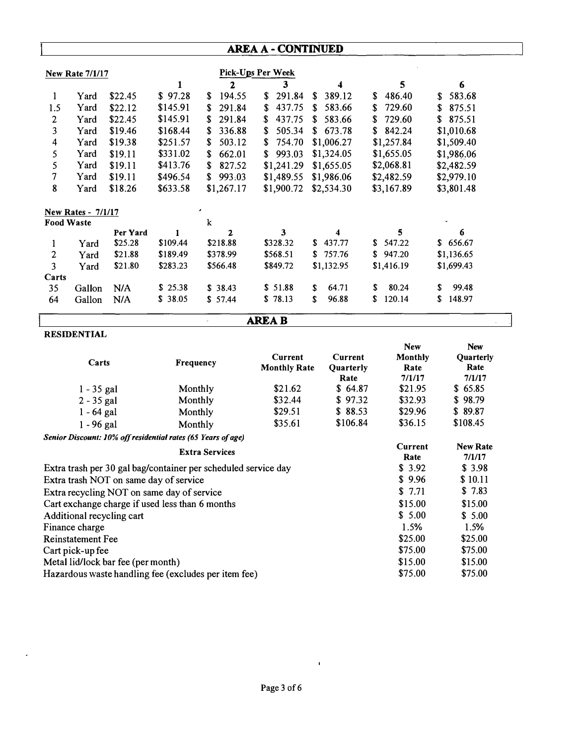# **AREA A- CONTINUED**

| <b>New Rate 7/1/17</b> |                           |          |          |               | Pick-Ups Per Week |                  |              |              |
|------------------------|---------------------------|----------|----------|---------------|-------------------|------------------|--------------|--------------|
|                        |                           |          |          | 2             | 3                 | $\boldsymbol{4}$ | 5            | 6            |
| 1                      | Yard                      | \$22.45  | \$97.28  | 194.55<br>S.  | 291.84<br>S.      | 389.12<br>S.     | \$<br>486.40 | 583.68<br>\$ |
| 1.5                    | Yard                      | \$22.12  | \$145.91 | 291.84<br>\$  | 437.75<br>\$      | 583.66<br>S      | 729.60<br>S  | 875.51<br>\$ |
| 2                      | Yard                      | \$22.45  | \$145.91 | 291.84<br>\$  | 437.75<br>S       | 583.66<br>S      | 729.60<br>S  | 875.51<br>\$ |
| 3                      | Yard                      | \$19.46  | \$168.44 | 336.88<br>\$. | 505.34<br>\$      | 673.78<br>\$     | 842.24<br>\$ | \$1,010.68   |
| 4                      | Yard                      | \$19.38  | \$251.57 | 503.12<br>S   | 754.70<br>\$      | \$1,006.27       | \$1,257.84   | \$1,509.40   |
| 5                      | Yard                      | \$19.11  | \$331.02 | 662.01<br>S   | 993.03<br>\$      | \$1,324.05       | \$1,655.05   | \$1,986.06   |
| 5                      | Yard                      | \$19.11  | \$413.76 | 827.52<br>\$  | \$1,241.29        | \$1,655.05       | \$2,068.81   | \$2,482.59   |
| 7                      | Yard                      | \$19.11  | \$496.54 | 993.03<br>S   | \$1,489.55        | \$1,986.06       | \$2,482.59   | \$2,979.10   |
| 8                      | Yard                      | \$18.26  | \$633.58 | \$1,267.17    | \$1,900.72        | \$2,534.30       | \$3,167.89   | \$3,801.48   |
|                        | <b>New Rates - 7/1/17</b> |          |          |               |                   |                  |              |              |
| <b>Food Waste</b>      |                           |          |          | k             |                   |                  |              |              |
|                        |                           | Per Yard |          | 2             | 3                 |                  | 5            | 6            |
| 1                      | Yard                      | \$25.28  | \$109.44 | \$218.88      | \$328.32          | 437.77<br>S.     | 547.22<br>S. | 656.67<br>S. |
| $\mathbf{2}$           | Yard                      | \$21.88  | \$189.49 | \$378.99      | \$568.51          | 757.76<br>S.     | 947.20<br>\$ | \$1,136.65   |
| 3                      | Yard                      | \$21.80  | \$283.23 | \$566.48      | \$849.72          | \$1,132.95       | \$1,416.19   | \$1,699.43   |
| Carts                  |                           |          |          |               |                   |                  |              |              |
| 35                     | Gallon                    | N/A      | \$25.38  | \$38.43       | \$51.88           | S<br>64.71       | 80.24<br>S   | 99.48<br>S   |
| 64                     | Gallon                    | N/A      | \$38.05  | \$57.44       | \$78.13           | 96.88<br>\$      | S<br>120.14  | 148.97<br>S  |

**AREAB** 

 $\hat{\mathcal{L}}$ 

### **RESIDENTIAL**

Metal lid/lock bar fee (per month)

Hazardous waste handling fee ( excludes per item fee)

| Carts                                                          | <b>Frequency</b>      | Current<br><b>Monthly Rate</b> | Current<br>Quarterly<br>Rate | <b>New</b><br>Monthly<br>Rate<br>7/1/17 | <b>New</b><br><b>Quarterly</b><br>Rate<br>7/1/17 |
|----------------------------------------------------------------|-----------------------|--------------------------------|------------------------------|-----------------------------------------|--------------------------------------------------|
| $1 - 35$ gal                                                   | Monthly               | \$21.62                        | \$64.87                      | \$21.95                                 | \$65.85                                          |
| $2 - 35$ gal                                                   | Monthly               | \$32.44                        | \$97.32                      | \$32.93                                 | \$98.79                                          |
| $1 - 64$ gal                                                   | Monthly               | \$29.51                        | \$88.53                      | \$29.96                                 | \$89.87                                          |
| $1 - 96$ gal                                                   | Monthly               | \$35.61                        | \$106.84                     | \$36.15                                 | \$108.45                                         |
| Senior Discount: 10% off residential rates (65 Years of age)   |                       |                                |                              |                                         |                                                  |
|                                                                | <b>Extra Services</b> |                                |                              | Current<br>Rate                         | <b>New Rate</b><br>7/1/17                        |
| Extra trash per 30 gal bag/container per scheduled service day |                       |                                |                              | \$3.92                                  | \$3.98                                           |
| Extra trash NOT on same day of service                         |                       |                                |                              | \$9.96                                  | \$10.11                                          |
| Extra recycling NOT on same day of service                     |                       |                                |                              | \$7.71                                  | \$ 7.83                                          |
| Cart exchange charge if used less than 6 months                |                       |                                |                              | \$15.00                                 | \$15.00                                          |
| Additional recycling cart                                      |                       |                                |                              | \$5.00                                  | \$5.00                                           |
| Finance charge                                                 |                       |                                |                              | 1.5%                                    | 1.5%                                             |
| <b>Reinstatement Fee</b>                                       |                       |                                |                              | \$25.00                                 | \$25.00                                          |
| Cart pick-up fee                                               |                       |                                |                              | \$75.00                                 | \$75.00                                          |

 $\bar{\mathbf{r}}$ 

\$15.00 \$15.00<br>\$75.00 \$75.00

\$75.00 \$75.00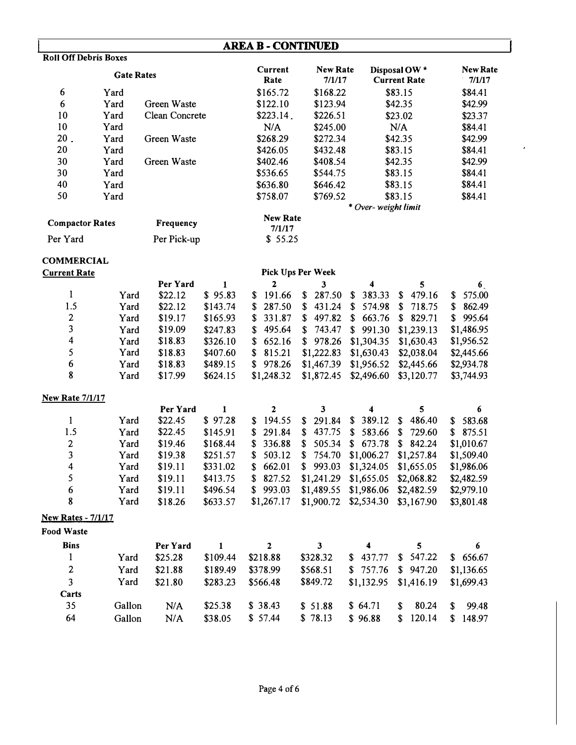# **AREA B - CONTINUED**

| <b>Roll Off Debris Boxes</b> |      |                  |                           |                           |                                      |                           |
|------------------------------|------|------------------|---------------------------|---------------------------|--------------------------------------|---------------------------|
| <b>Gate Rates</b>            |      |                  | Current<br>Rate           | <b>New Rate</b><br>7/1/17 | Disposal OW *<br><b>Current Rate</b> | <b>New Rate</b><br>7/1/17 |
| 6                            | Yard |                  | \$165.72                  | \$168.22                  | \$83.15                              | \$84.41                   |
| 6                            | Yard | Green Waste      | \$122.10                  | \$123.94                  | \$42.35                              | \$42.99                   |
| 10                           | Yard | Clean Concrete   | \$223.14.                 | \$226.51                  | \$23.02                              | \$23.37                   |
| 10                           | Yard |                  | N/A                       | \$245.00                  | N/A                                  | \$84.41                   |
| 20 <sub>1</sub>              | Yard | Green Waste      | \$268.29                  | \$272.34                  | \$42.35                              | \$42.99                   |
| 20                           | Yard |                  | \$426.05                  | \$432.48                  | \$83.15                              | \$84.41                   |
| 30                           | Yard | Green Waste      | \$402.46                  | \$408.54                  | \$42.35                              | \$42.99                   |
| 30                           | Yard |                  | \$536.65                  | \$544.75                  | \$83.15                              | \$84.41                   |
| 40                           | Yard |                  | \$636.80                  | \$646.42                  | \$83.15                              | \$84.41                   |
| 50                           | Yard |                  | \$758.07                  | \$769.52                  | \$83.15                              | \$84.41                   |
|                              |      |                  |                           |                           | * Over-weight limit                  |                           |
| <b>Compactor Rates</b>       |      | <b>Frequency</b> | <b>New Rate</b><br>7/1/17 |                           |                                      |                           |
| Per Yard                     |      | Per Pick-up      | \$55.25                   |                           |                                      |                           |

 $\hat{\boldsymbol{\theta}}$ 

### **COMMERCIAL**

| Pick Ups Per Week |          |          |            |          |          |                                                                           |                                                                                                                               |  |
|-------------------|----------|----------|------------|----------|----------|---------------------------------------------------------------------------|-------------------------------------------------------------------------------------------------------------------------------|--|
|                   | Per Yard |          |            |          |          | 5                                                                         | 6                                                                                                                             |  |
| Yard              | \$22.12  | \$95.83  | \$191.66   | \$287.50 | \$383.33 | 479.16                                                                    | \$575.00                                                                                                                      |  |
| Yard              | \$22.12  | \$143.74 | \$287.50   | \$431.24 | \$574.98 | \$718.75                                                                  | \$862.49                                                                                                                      |  |
| Yard              | \$19.17  | \$165.93 | \$331.87   |          |          |                                                                           | \$995.64                                                                                                                      |  |
| Yard              | \$19.09  | \$247.83 | \$495.64   |          |          |                                                                           | \$1,486.95                                                                                                                    |  |
| Yard              | \$18.83  | \$326.10 | \$652.16   |          |          |                                                                           | \$1,956.52                                                                                                                    |  |
| Yard              | \$18.83  | \$407.60 | \$815.21   |          |          | \$2,038.04                                                                | \$2,445.66                                                                                                                    |  |
| Yard              | \$18.83  | \$489.15 | \$978.26   |          |          |                                                                           | \$2,934.78                                                                                                                    |  |
| Yard              | \$17.99  | \$624.15 | \$1,248.32 |          |          | \$3,120.77                                                                | \$3,744.93                                                                                                                    |  |
|                   |          |          |            |          |          | $$743.47$ $$991.30$<br>$$1,222.83$ $$1,630.43$<br>$$1,872.45$ $$2,496.60$ | S.<br>$$497.82 \t$663.76 \t$829.71$<br>\$1,239.13<br>$$978.26$ $$1,304.35$ $$1,630.43$<br>$$1,467.39$ $$1,956.52$ $$2,445.66$ |  |

### **New Rate 7/1/17**

|                           |      | Per Yard |          | 2          |          |                                     |            |            |
|---------------------------|------|----------|----------|------------|----------|-------------------------------------|------------|------------|
|                           | Yard | \$22.45  | \$97.28  | \$194.55   | \$291.84 | $$389.12$ \$                        | 486.40     | \$583.68   |
| 1.5                       | Yard | \$22.45  | \$145.91 | \$291.84   | \$437.75 | $$583.66$ $$729.60$                 |            | \$875.51   |
| 2                         | Yard | \$19.46  | \$168.44 | \$336.88   |          | $$505.34 \t$673.78 \t$842.24$       |            | \$1,010.67 |
| 3                         | Yard | \$19.38  | \$251.57 | \$503.12   |          | $$754.70$ $$1,006.27$ $$1,257.84$   |            | \$1,509.40 |
| 4                         | Yard | \$19.11  | \$331.02 | \$662.01   |          | $$993.03$ $$1,324.05$ $$1,655.05$   |            | \$1,986.06 |
| 5                         | Yard | \$19.11  | \$413.75 | \$827.52   |          | $$1,241.29$ $$1,655.05$ $$2,068.82$ |            | \$2,482.59 |
| 6                         | Yard | \$19.11  | \$496.54 | \$993.03   |          | $$1,489.55$ $$1,986.06$ $$2,482.59$ |            | \$2,979.10 |
| 8                         | Yard | \$18.26  | \$633.57 | \$1,267.17 |          | $$1,900.72$ $$2,534.30$             | \$3,167.90 | \$3,801.48 |
| <b>New Rates - 7/1/17</b> |      |          |          |            |          |                                     |            |            |

**Food Waste** 

| <b>Bins</b> |        | Per Yard |          | $\mathbf{2}$ |          |          |                         | 6             |
|-------------|--------|----------|----------|--------------|----------|----------|-------------------------|---------------|
|             | Yard   | \$25.28  | \$109.44 | \$218.88     | \$328.32 | \$437.77 | \$547.22                | \$656.67      |
| 2           | Yard   | \$21.88  | \$189.49 | \$378.99     | \$568.51 |          | $$757.76$ $$947.20$     | \$1,136.65    |
| 3           | Yard   | \$21.80  | \$283.23 | \$566.48     | \$849.72 |          | $$1,132.95$ $$1,416.19$ | \$1,699.43    |
| Carts       |        |          |          |              |          |          |                         |               |
| 35          | Gallon | N/A      | \$25.38  | \$38.43      | \$ 51.88 | \$64.71  | 80.24<br>S.             | 99.48<br>\$   |
| 64          | Gallon | N/A      | \$38.05  | \$ 57.44     | \$78.13  | \$96.88  | 120.14<br>S.            | \$.<br>148.97 |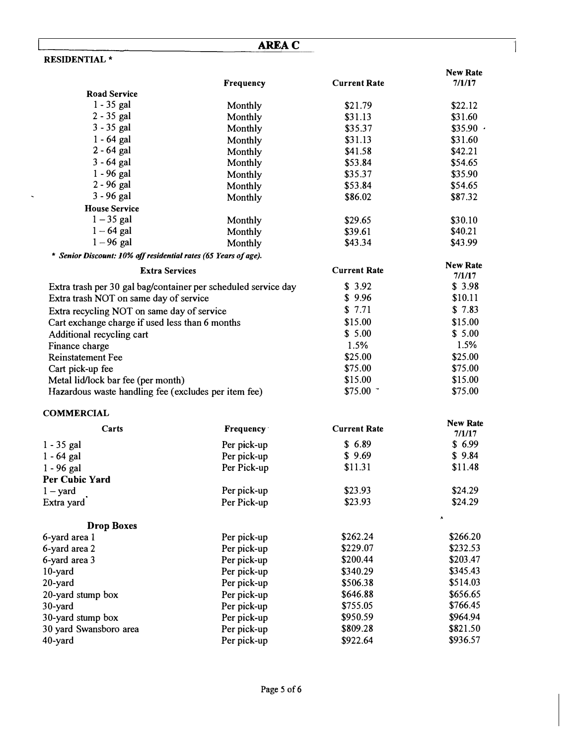|                                                                 | <b>AREA C</b>          |                     |                           |
|-----------------------------------------------------------------|------------------------|---------------------|---------------------------|
| <b>RESIDENTIAL*</b>                                             |                        |                     |                           |
|                                                                 | Frequency              | <b>Current Rate</b> | <b>New Rate</b><br>7/1/17 |
| <b>Road Service</b>                                             |                        |                     |                           |
| $1 - 35$ gal                                                    | Monthly                | \$21.79             | \$22.12                   |
| $2 - 35$ gal                                                    | Monthly                | \$31.13             | \$31.60                   |
| $3 - 35$ gal                                                    | Monthly                | \$35.37             | \$35.90                   |
| $1 - 64$ gal                                                    | Monthly                | \$31.13             | \$31.60                   |
| $2 - 64$ gal                                                    | Monthly                | \$41.58             | \$42.21                   |
| $3 - 64$ gal                                                    | Monthly                | \$53.84             | \$54.65                   |
| $1 - 96$ gal                                                    | Monthly                | \$35.37             | \$35.90                   |
| 2 - 96 gal                                                      | Monthly                | \$53.84             | \$54.65                   |
| 3 - 96 gal                                                      | Monthly                | \$86.02             | \$87.32                   |
| <b>House Service</b>                                            |                        |                     |                           |
| $1 - 35$ gal                                                    | Monthly                | \$29.65             | \$30.10                   |
| $1 - 64$ gal                                                    | Monthly                | \$39.61             | \$40.21                   |
| $1-96$ gal                                                      | Monthly                | \$43.34             | \$43.99                   |
| * Senior Discount: 10% off residential rates (65 Years of age). |                        |                     |                           |
|                                                                 |                        |                     | <b>New Rate</b>           |
| <b>Extra Services</b>                                           |                        | <b>Current Rate</b> | 7/1/17                    |
| Extra trash per 30 gal bag/container per scheduled service day  |                        | \$3.92              | \$3.98                    |
| Extra trash NOT on same day of service                          |                        | \$9.96              | \$10.11                   |
| Extra recycling NOT on same day of service                      |                        | \$7.71              | \$7.83                    |
| Cart exchange charge if used less than 6 months                 | \$15.00                | \$15.00             |                           |
| Additional recycling cart                                       | \$5.00                 | \$5.00              |                           |
| Finance charge                                                  | 1.5%                   | 1.5%                |                           |
| <b>Reinstatement Fee</b>                                        |                        | \$25.00             | \$25.00                   |
| Cart pick-up fee                                                |                        | \$75.00             | \$75.00                   |
| Metal lid/lock bar fee (per month)                              |                        | \$15.00             | \$15.00                   |
| Hazardous waste handling fee (excludes per item fee)            |                        | \$75.00             | \$75.00                   |
| <b>COMMERCIAL</b>                                               |                        |                     |                           |
| Carts                                                           | Frequency <sup>-</sup> | <b>Current Rate</b> | <b>New Rate</b><br>7/1/17 |
| 1 - 35 gal                                                      | Per pick-up            | \$6.89              | \$6.99                    |
| 1 - 64 gal                                                      | Per pick-up            | \$9.69              | \$9.84                    |
| 1 - 96 gal                                                      | Per Pick-up            | \$11.31             | \$11.48                   |
| Per Cubic Yard                                                  |                        |                     |                           |
| $1 -$ yard                                                      | Per pick-up            | \$23.93             | \$24.29                   |
| Extra yard                                                      | Per Pick-up            | \$23.93             | \$24.29                   |
| <b>Drop Boxes</b>                                               |                        |                     | A                         |
| 6-yard area 1                                                   | Per pick-up            | \$262.24            | \$266.20                  |
| 6-yard area 2                                                   | Per pick-up            | \$229.07            | \$232.53                  |
| 6-yard area 3                                                   | Per pick-up            | \$200.44            | \$203.47                  |
| 10-yard                                                         | Per pick-up            | \$340.29            | \$345.43                  |
| 20-yard                                                         | Per pick-up            | \$506.38            | \$514.03                  |
| 20-yard stump box                                               | Per pick-up            | \$646.88            | \$656.65                  |
| 30-yard                                                         | Per pick-up            | \$755.05            | \$766.45                  |
| 30-yard stump box                                               | Per pick-up            | \$950.59            | \$964.94                  |
| 30 yard Swansboro area                                          | Per pick-up            | \$809.28            | \$821.50                  |
| 40-yard                                                         | Per pick-up            | \$922.64            | \$936.57                  |
|                                                                 |                        |                     |                           |

 $\hat{\mathbf{z}}$ 

 $\overline{\phantom{a}}$